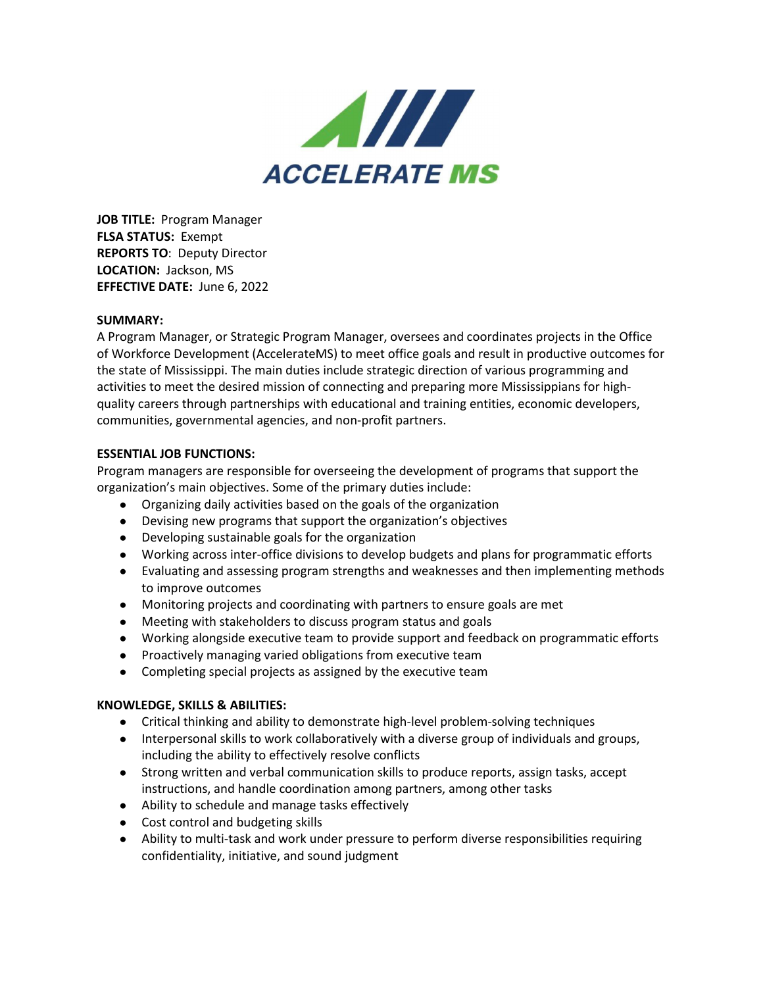

**JOB TITLE:** Program Manager **FLSA STATUS:** Exempt **REPORTS TO**: Deputy Director **LOCATION:** Jackson, MS **EFFECTIVE DATE:** June 6, 2022

## **SUMMARY:**

A Program Manager, or Strategic Program Manager, oversees and coordinates projects in the Office of Workforce Development (AccelerateMS) to meet office goals and result in productive outcomes for the state of Mississippi. The main duties include strategic direction of various programming and activities to meet the desired mission of connecting and preparing more Mississippians for highquality careers through partnerships with educational and training entities, economic developers, communities, governmental agencies, and non-profit partners.

## **ESSENTIAL JOB FUNCTIONS:**

Program managers are responsible for overseeing the development of programs that support the organization's main objectives. Some of the primary duties include:

- Organizing daily activities based on the goals of the organization
- Devising new programs that support the organization's objectives
- Developing sustainable goals for the organization
- Working across inter-office divisions to develop budgets and plans for programmatic efforts
- Evaluating and assessing program strengths and weaknesses and then implementing methods to improve outcomes
- Monitoring projects and coordinating with partners to ensure goals are met
- Meeting with stakeholders to discuss program status and goals
- Working alongside executive team to provide support and feedback on programmatic efforts
- Proactively managing varied obligations from executive team
- Completing special projects as assigned by the executive team

## **KNOWLEDGE, SKILLS & ABILITIES:**

- Critical thinking and ability to demonstrate high-level problem-solving techniques
- Interpersonal skills to work collaboratively with a diverse group of individuals and groups, including the ability to effectively resolve conflicts
- Strong written and verbal communication skills to produce reports, assign tasks, accept instructions, and handle coordination among partners, among other tasks
- Ability to schedule and manage tasks effectively
- Cost control and budgeting skills
- Ability to multi-task and work under pressure to perform diverse responsibilities requiring confidentiality, initiative, and sound judgment